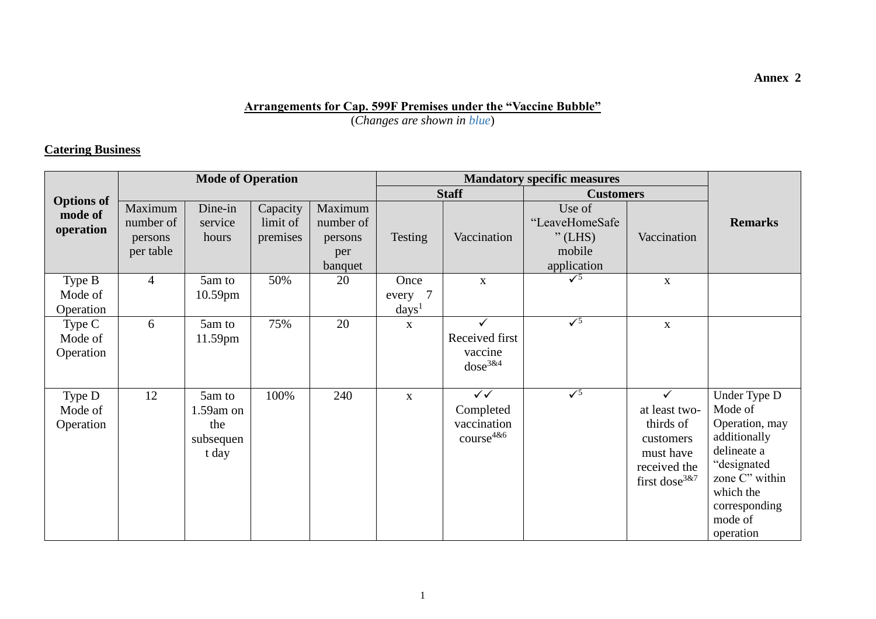#### **Arrangements for Cap. 599F Premises under the "Vaccine Bubble"**

(*Changes are shown in blue*)

### **Catering Business**

|                                | <b>Mode of Operation</b>                     |                                                     |                                  |                                                   |                                    |                                                            |                                                                |                                                                                                            |                                                                                                                                                                 |
|--------------------------------|----------------------------------------------|-----------------------------------------------------|----------------------------------|---------------------------------------------------|------------------------------------|------------------------------------------------------------|----------------------------------------------------------------|------------------------------------------------------------------------------------------------------------|-----------------------------------------------------------------------------------------------------------------------------------------------------------------|
| <b>Options</b> of              |                                              |                                                     |                                  |                                                   |                                    | <b>Staff</b>                                               | <b>Customers</b>                                               |                                                                                                            |                                                                                                                                                                 |
| mode of<br>operation           | Maximum<br>number of<br>persons<br>per table | Dine-in<br>service<br>hours                         | Capacity<br>limit of<br>premises | Maximum<br>number of<br>persons<br>per<br>banquet | Testing                            | Vaccination                                                | Use of<br>"LeaveHomeSafe<br>$"$ (LHS)<br>mobile<br>application | Vaccination                                                                                                | <b>Remarks</b>                                                                                                                                                  |
| Type B<br>Mode of<br>Operation | $\overline{4}$                               | 5am to<br>$10.59$ pm                                | 50%                              | 20                                                | Once<br>every 7<br>$\text{days}^1$ | $\mathbf X$                                                | $\sqrt{5}$                                                     | $\mathbf X$                                                                                                |                                                                                                                                                                 |
| Type C<br>Mode of<br>Operation | 6                                            | 5am to<br>11.59pm                                   | 75%                              | 20                                                | $\mathbf{X}$                       | $\checkmark$<br>Received first<br>vaccine<br>$dose^{3\&4}$ | $\sqrt{5}$                                                     | $\mathbf{X}$                                                                                               |                                                                                                                                                                 |
| Type D<br>Mode of<br>Operation | 12                                           | 5am to<br>$1.59$ am on<br>the<br>subsequen<br>t day | 100%                             | 240                                               | $\mathbf{X}$                       | $\sqrt{}$<br>Completed<br>vaccination<br>$course^{4&6}$    | $\sqrt{5}$                                                     | ✓<br>at least two-<br>thirds of<br>customers<br>must have<br>received the<br>first dose <sup>3&amp;7</sup> | Under Type D<br>Mode of<br>Operation, may<br>additionally<br>delineate a<br>"designated<br>zone C" within<br>which the<br>corresponding<br>mode of<br>operation |

**Annex 2**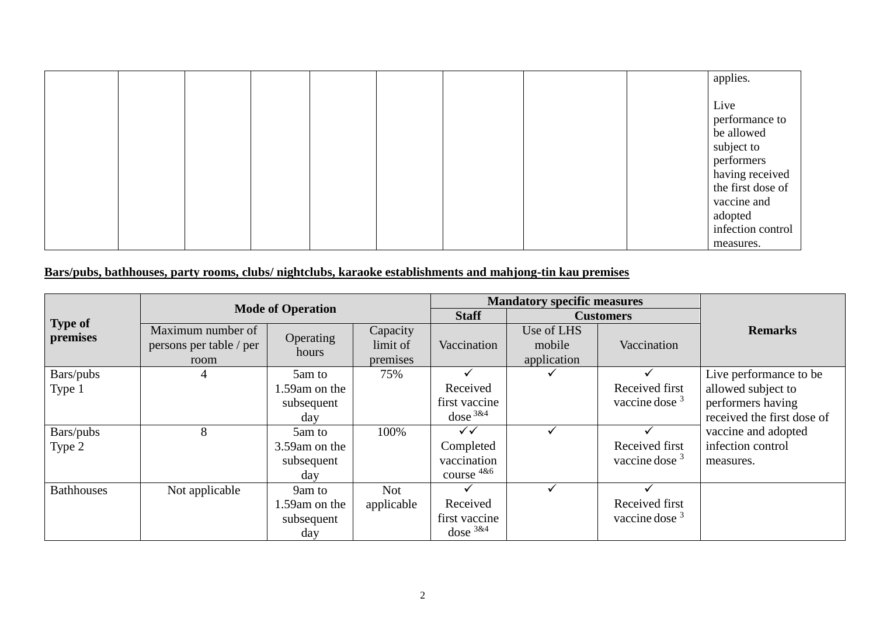|  |  |  |  | applies.                                                                            |
|--|--|--|--|-------------------------------------------------------------------------------------|
|  |  |  |  | Live<br>performance to<br>be allowed<br>subject to<br>performers<br>having received |
|  |  |  |  | the first dose of<br>vaccine and<br>adopted<br>infection control<br>measures.       |

# **Bars/pubs, bathhouses, party rooms, clubs/ nightclubs, karaoke establishments and mahjong-tin kau premises**

|                            |                                                      |                    |                                  | <b>Mandatory specific measures</b> |                                     |                  |                            |
|----------------------------|------------------------------------------------------|--------------------|----------------------------------|------------------------------------|-------------------------------------|------------------|----------------------------|
|                            | <b>Mode of Operation</b>                             |                    | <b>Staff</b>                     |                                    | <b>Customers</b>                    |                  |                            |
| <b>Type of</b><br>premises | Maximum number of<br>persons per table / per<br>room | Operating<br>hours | Capacity<br>limit of<br>premises | Vaccination                        | Use of LHS<br>mobile<br>application | Vaccination      | <b>Remarks</b>             |
| Bars/pubs                  | $\overline{4}$                                       | 5am to             | 75%                              |                                    |                                     |                  | Live performance to be     |
| Type 1                     |                                                      | 1.59 am on the     |                                  | Received                           |                                     | Received first   | allowed subject to         |
|                            |                                                      | subsequent         |                                  | first vaccine                      |                                     | vaccine dose $3$ | performers having          |
|                            |                                                      | day                |                                  | dose $3&4$                         |                                     |                  | received the first dose of |
| Bars/pubs                  | 8                                                    | 5am to             | 100%                             | ✓✓                                 |                                     |                  | vaccine and adopted        |
| Type 2                     |                                                      | 3.59 am on the     |                                  | Completed                          |                                     | Received first   | infection control          |
|                            |                                                      | subsequent         |                                  | vaccination                        |                                     | vaccine dose $3$ | measures.                  |
|                            |                                                      | day                |                                  | course $4&6$                       |                                     |                  |                            |
| <b>Bathhouses</b>          | Not applicable                                       | 9am to             | <b>Not</b>                       |                                    |                                     |                  |                            |
|                            |                                                      | 1.59 am on the     | applicable                       | Received                           |                                     | Received first   |                            |
|                            |                                                      | subsequent         |                                  | first vaccine                      |                                     | vaccine dose $3$ |                            |
|                            |                                                      | day                |                                  | dose $3&4$                         |                                     |                  |                            |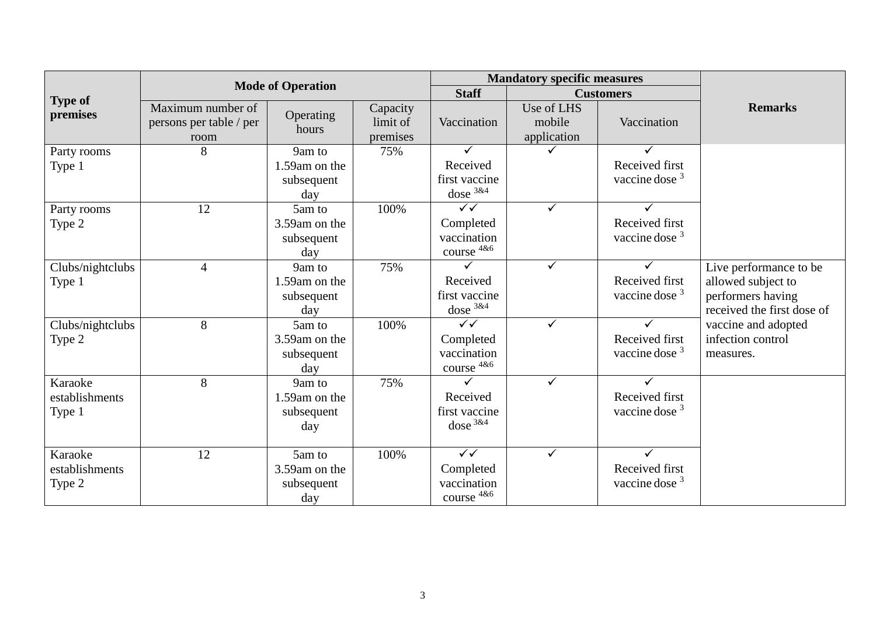|                          |                                                      |                                    |                                  | <b>Mandatory specific measures</b>      |                                     |                                             |                                                 |
|--------------------------|------------------------------------------------------|------------------------------------|----------------------------------|-----------------------------------------|-------------------------------------|---------------------------------------------|-------------------------------------------------|
| <b>Type of</b>           |                                                      | <b>Mode of Operation</b>           |                                  | <b>Staff</b>                            |                                     | <b>Customers</b>                            |                                                 |
| premises                 | Maximum number of<br>persons per table / per<br>room | Operating<br>hours                 | Capacity<br>limit of<br>premises | Vaccination                             | Use of LHS<br>mobile<br>application | Vaccination                                 | <b>Remarks</b>                                  |
| Party rooms              | 8                                                    | 9am to                             | 75%                              | ✓                                       | ✓                                   |                                             |                                                 |
| Type 1                   |                                                      | 1.59am on the                      |                                  | Received                                |                                     | Received first                              |                                                 |
|                          |                                                      | subsequent<br>day                  |                                  | first vaccine<br>dose $3&4$             |                                     | vaccine dose $3$                            |                                                 |
| Party rooms              | 12                                                   | 5am to                             | 100%                             | $\sqrt{}$                               | $\checkmark$                        |                                             |                                                 |
| Type 2                   |                                                      | 3.59am on the<br>subsequent<br>day |                                  | Completed<br>vaccination<br>course 4&6  |                                     | Received first<br>vaccine dose <sup>3</sup> |                                                 |
| Clubs/nightclubs         | $\overline{4}$                                       | 9am to                             | 75%                              |                                         | ✓                                   |                                             | Live performance to be                          |
| Type 1                   |                                                      | 1.59am on the                      |                                  | Received                                |                                     | Received first                              | allowed subject to                              |
|                          |                                                      | subsequent<br>day                  |                                  | first vaccine<br>dose $3&4$             |                                     | vaccine dose <sup>3</sup>                   | performers having<br>received the first dose of |
| Clubs/nightclubs         | 8                                                    | 5am to                             | 100%                             | $\sqrt{\sqrt{2}}$                       | $\checkmark$                        |                                             | vaccine and adopted                             |
| Type 2                   |                                                      | 3.59am on the                      |                                  | Completed                               |                                     | Received first                              | infection control                               |
|                          |                                                      | subsequent<br>day                  |                                  | vaccination<br>course 4&6               |                                     | vaccine dose $3$                            | measures.                                       |
| Karaoke                  | 8                                                    | 9am to                             | 75%                              |                                         | $\checkmark$                        |                                             |                                                 |
| establishments<br>Type 1 |                                                      | 1.59am on the<br>subsequent<br>day |                                  | Received<br>first vaccine<br>dose $3&4$ |                                     | Received first<br>vaccine dose $3$          |                                                 |
| Karaoke                  | 12                                                   | 5am to                             | 100%                             | $\overline{\checkmark}$                 | ✓                                   |                                             |                                                 |
| establishments<br>Type 2 |                                                      | 3.59am on the<br>subsequent<br>day |                                  | Completed<br>vaccination<br>course 4&6  |                                     | Received first<br>vaccine dose $3$          |                                                 |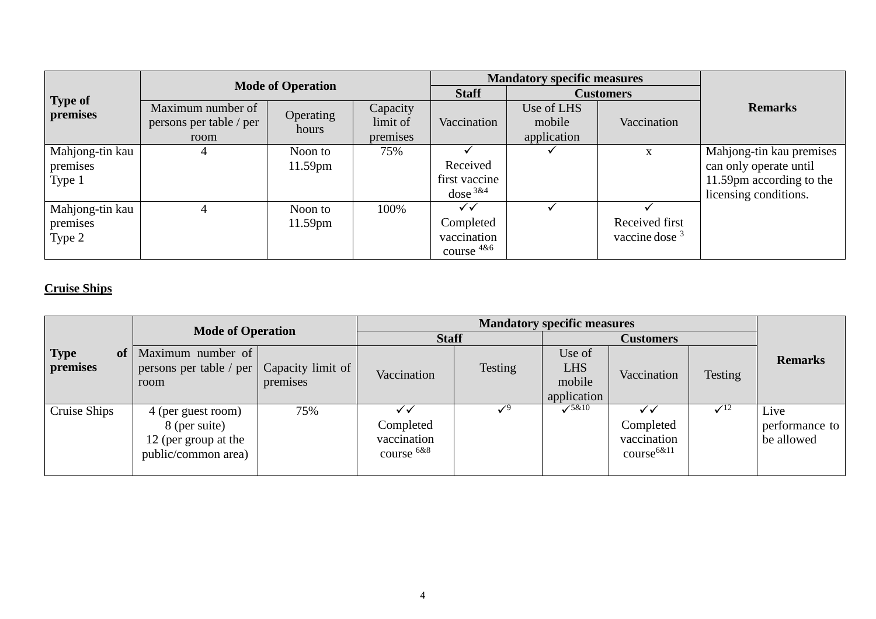|                     | <b>Mode of Operation</b>                             |                    |                                  | <b>Mandatory specific measures</b> |                                     |                  |                          |  |
|---------------------|------------------------------------------------------|--------------------|----------------------------------|------------------------------------|-------------------------------------|------------------|--------------------------|--|
|                     |                                                      |                    | <b>Staff</b>                     | <b>Customers</b>                   |                                     |                  |                          |  |
| Type of<br>premises | Maximum number of<br>persons per table / per<br>room | Operating<br>hours | Capacity<br>limit of<br>premises | Vaccination                        | Use of LHS<br>mobile<br>application | Vaccination      | <b>Remarks</b>           |  |
| Mahjong-tin kau     | 4                                                    | Noon to            | 75%                              |                                    |                                     | X                | Mahjong-tin kau premises |  |
| premises            |                                                      | $11.59$ pm         |                                  | Received                           |                                     |                  | can only operate until   |  |
| Type 1              |                                                      |                    |                                  | first vaccine                      |                                     |                  | 11.59pm according to the |  |
|                     |                                                      |                    |                                  | dose <sup>3&amp;4</sup>            |                                     |                  | licensing conditions.    |  |
| Mahjong-tin kau     | 4                                                    | Noon to            | 100%                             | ✓✓                                 |                                     |                  |                          |  |
| premises            |                                                      | $11.59$ pm         |                                  | Completed                          |                                     | Received first   |                          |  |
| Type 2              |                                                      |                    |                                  | vaccination                        |                                     | vaccine dose $3$ |                          |  |
|                     |                                                      |                    |                                  | course $486$                       |                                     |                  |                          |  |

# **Cruise Ships**

|                               | <b>Mode of Operation</b>                                                           |                               | <b>Staff</b>                           |         | <b>Customers</b>                              |                                             |                |                                      |
|-------------------------------|------------------------------------------------------------------------------------|-------------------------------|----------------------------------------|---------|-----------------------------------------------|---------------------------------------------|----------------|--------------------------------------|
| <b>Type</b><br>of<br>premises | Maximum number of<br>persons per table / per<br>room                               | Capacity limit of<br>premises | Vaccination                            | Testing | Use of<br><b>LHS</b><br>mobile<br>application | Vaccination                                 | <b>Testing</b> | <b>Remarks</b>                       |
| Cruise Ships                  | 4 (per guest room)<br>8 (per suite)<br>12 (per group at the<br>public/common area) | 75%                           | Completed<br>vaccination<br>course 6&8 |         | $\sqrt{5\&10}$                                | Completed<br>vaccination<br>$course^{6&11}$ | $\sqrt{12}$    | Live<br>performance to<br>be allowed |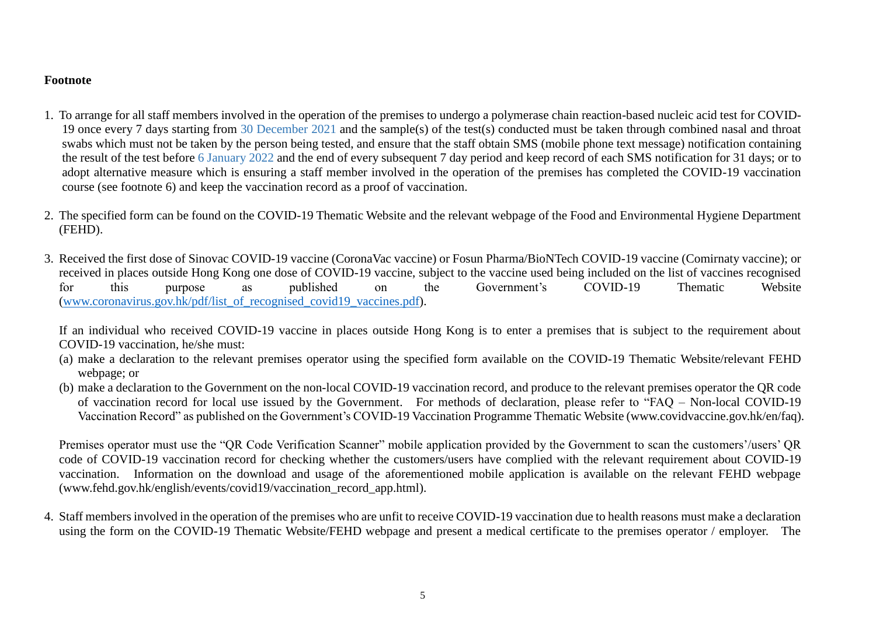#### **Footnote**

- 1. To arrange for all staff members involved in the operation of the premises to undergo a polymerase chain reaction-based nucleic acid test for COVID-19 once every 7 days starting from 30 December 2021 and the sample(s) of the test(s) conducted must be taken through combined nasal and throat swabs which must not be taken by the person being tested, and ensure that the staff obtain SMS (mobile phone text message) notification containing the result of the test before 6 January 2022 and the end of every subsequent 7 day period and keep record of each SMS notification for 31 days; or to adopt alternative measure which is ensuring a staff member involved in the operation of the premises has completed the COVID-19 vaccination course (see footnote 6) and keep the vaccination record as a proof of vaccination.
- 2. The specified form can be found on the COVID-19 Thematic Website and the relevant webpage of the Food and Environmental Hygiene Department (FEHD).
- 3. Received the first dose of Sinovac COVID-19 vaccine (CoronaVac vaccine) or Fosun Pharma/BioNTech COVID-19 vaccine (Comirnaty vaccine); or received in places outside Hong Kong one dose of COVID-19 vaccine, subject to the vaccine used being included on the list of vaccines recognised for this purpose as published on the Government's COVID-19 Thematic Website [\(www.coronavirus.gov.hk/pdf/list\\_of\\_recognised\\_covid19\\_vaccines.pdf\)](file:///D:/Users/rwcchan/AppData/Local/Temp/notesC7A056/www.coronavirus.gov.hk/pdf/list_of_recognised_covid19_vaccines.pdf).

If an individual who received COVID-19 vaccine in places outside Hong Kong is to enter a premises that is subject to the requirement about COVID-19 vaccination, he/she must:

- (a) make a declaration to the relevant premises operator using the specified form available on the COVID-19 Thematic Website/relevant FEHD webpage; or
- (b) make a declaration to the Government on the non-local COVID-19 vaccination record, and produce to the relevant premises operator the QR code of vaccination record for local use issued by the Government. For methods of declaration, please refer to "FAQ – Non-local COVID-19 Vaccination Record" as published on the Government's COVID-19 Vaccination Programme Thematic Website (www.covidvaccine.gov.hk/en/faq).

Premises operator must use the "QR Code Verification Scanner" mobile application provided by the Government to scan the customers'/users' QR code of COVID-19 vaccination record for checking whether the customers/users have complied with the relevant requirement about COVID-19 vaccination. Information on the download and usage of the aforementioned mobile application is available on the relevant FEHD webpage [\(www.fehd.gov.hk/english/events/covid19/vaccination\\_record\\_app.html\)](http://www.fehd.gov.hk/english/events/covid19/vaccination_record_app.html).

4. Staff members involved in the operation of the premises who are unfit to receive COVID-19 vaccination due to health reasons must make a declaration using the form on the COVID-19 Thematic Website/FEHD webpage and present a medical certificate to the premises operator / employer. The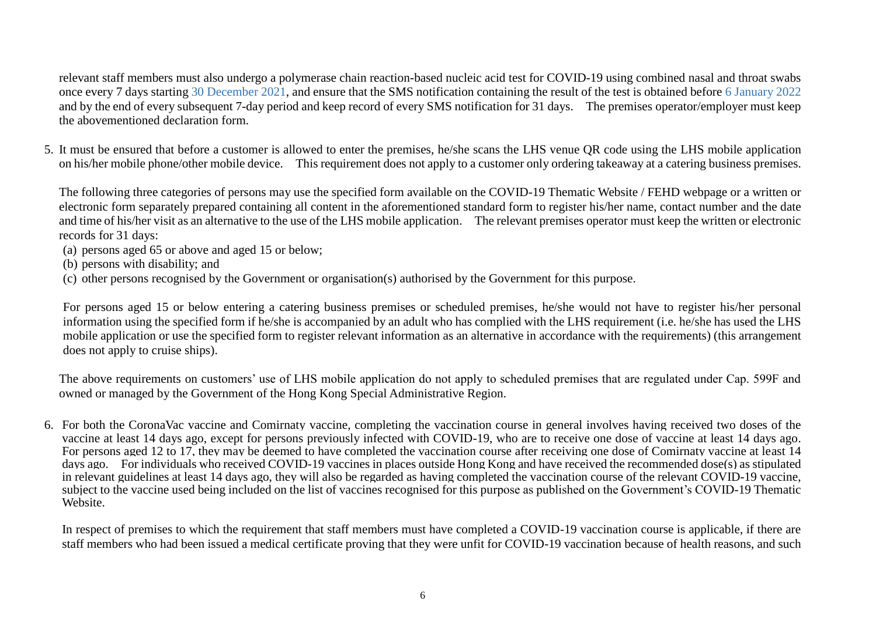relevant staff members must also undergo a polymerase chain reaction-based nucleic acid test for COVID-19 using combined nasal and throat swabs once every 7 days starting 30 December 2021, and ensure that the SMS notification containing the result of the test is obtained before 6 January 2022 and by the end of every subsequent 7-day period and keep record of every SMS notification for 31 days. The premises operator/employer must keep the abovementioned declaration form.

5. It must be ensured that before a customer is allowed to enter the premises, he/she scans the LHS venue QR code using the LHS mobile application on his/her mobile phone/other mobile device. This requirement does not apply to a customer only ordering takeaway at a catering business premises.

The following three categories of persons may use the specified form available on the COVID-19 Thematic Website / FEHD webpage or a written or electronic form separately prepared containing all content in the aforementioned standard form to register his/her name, contact number and the date and time of his/her visit as an alternative to the use of the LHS mobile application. The relevant premises operator must keep the written or electronic records for 31 days:

- (a) persons aged 65 or above and aged 15 or below;
- (b) persons with disability; and
- (c) other persons recognised by the Government or organisation(s) authorised by the Government for this purpose.

For persons aged 15 or below entering a catering business premises or scheduled premises, he/she would not have to register his/her personal information using the specified form if he/she is accompanied by an adult who has complied with the LHS requirement (i.e. he/she has used the LHS mobile application or use the specified form to register relevant information as an alternative in accordance with the requirements) (this arrangement does not apply to cruise ships).

The above requirements on customers' use of LHS mobile application do not apply to scheduled premises that are regulated under Cap. 599F and owned or managed by the Government of the Hong Kong Special Administrative Region.

6. For both the CoronaVac vaccine and Comirnaty vaccine, completing the vaccination course in general involves having received two doses of the vaccine at least 14 days ago, except for persons previously infected with COVID-19, who are to receive one dose of vaccine at least 14 days ago. For persons aged 12 to 17, they may be deemed to have completed the vaccination course after receiving one dose of Comirnaty vaccine at least 14 days ago. For individuals who received COVID-19 vaccines in places outside Hong Kong and have received the recommended dose(s) as stipulated in relevant guidelines at least 14 days ago, they will also be regarded as having completed the vaccination course of the relevant COVID-19 vaccine, subject to the vaccine used being included on the list of vaccines recognised for this purpose as published on the Government's COVID-19 Thematic Website.

In respect of premises to which the requirement that staff members must have completed a COVID-19 vaccination course is applicable, if there are staff members who had been issued a medical certificate proving that they were unfit for COVID-19 vaccination because of health reasons, and such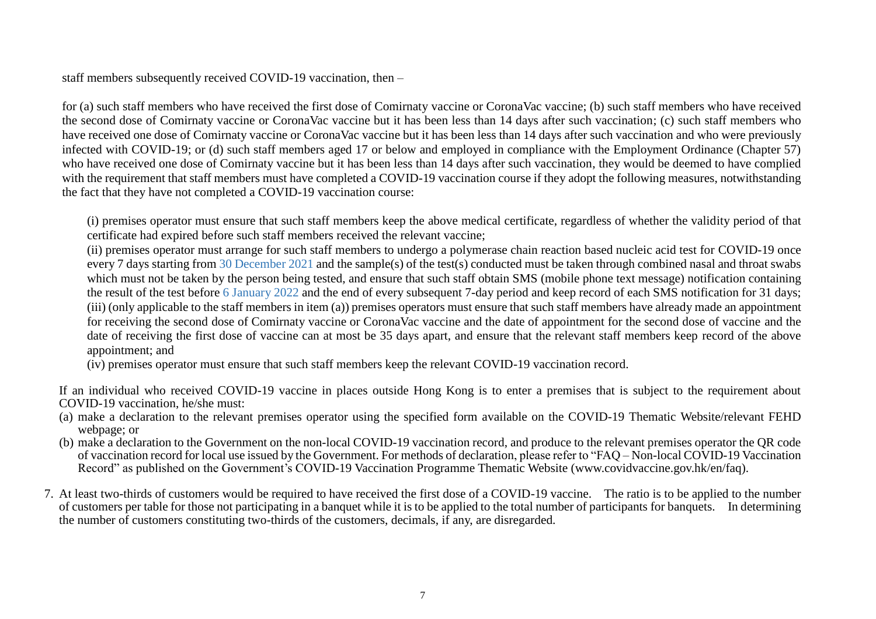staff members subsequently received COVID-19 vaccination, then –

for (a) such staff members who have received the first dose of Comirnaty vaccine or CoronaVac vaccine; (b) such staff members who have received the second dose of Comirnaty vaccine or CoronaVac vaccine but it has been less than 14 days after such vaccination; (c) such staff members who have received one dose of Comirnaty vaccine or CoronaVac vaccine but it has been less than 14 days after such vaccination and who were previously infected with COVID-19; or (d) such staff members aged 17 or below and employed in compliance with the Employment Ordinance (Chapter 57) who have received one dose of Comirnaty vaccine but it has been less than 14 days after such vaccination, they would be deemed to have complied with the requirement that staff members must have completed a COVID-19 vaccination course if they adopt the following measures, notwithstanding the fact that they have not completed a COVID-19 vaccination course:

(i) premises operator must ensure that such staff members keep the above medical certificate, regardless of whether the validity period of that certificate had expired before such staff members received the relevant vaccine;

(ii) premises operator must arrange for such staff members to undergo a polymerase chain reaction based nucleic acid test for COVID-19 once every 7 days starting from 30 December 2021 and the sample(s) of the test(s) conducted must be taken through combined nasal and throat swabs which must not be taken by the person being tested, and ensure that such staff obtain SMS (mobile phone text message) notification containing the result of the test before 6 January 2022 and the end of every subsequent 7-day period and keep record of each SMS notification for 31 days; (iii) (only applicable to the staff members in item (a)) premises operators must ensure that such staff members have already made an appointment for receiving the second dose of Comirnaty vaccine or CoronaVac vaccine and the date of appointment for the second dose of vaccine and the date of receiving the first dose of vaccine can at most be 35 days apart, and ensure that the relevant staff members keep record of the above appointment; and

(iv) premises operator must ensure that such staff members keep the relevant COVID-19 vaccination record.

If an individual who received COVID-19 vaccine in places outside Hong Kong is to enter a premises that is subject to the requirement about COVID-19 vaccination, he/she must:

- (a) make a declaration to the relevant premises operator using the specified form available on the COVID-19 Thematic Website/relevant FEHD webpage; or
- (b) make a declaration to the Government on the non-local COVID-19 vaccination record, and produce to the relevant premises operator the QR code of vaccination record for local use issued by the Government. For methods of declaration, please refer to "FAQ – Non-local COVID-19 Vaccination Record" as published on the Government's COVID-19 Vaccination Programme Thematic Website (www.covidvaccine.gov.hk/en/faq).
- 7. At least two-thirds of customers would be required to have received the first dose of a COVID-19 vaccine. The ratio is to be applied to the number of customers per table for those not participating in a banquet while it is to be applied to the total number of participants for banquets. In determining the number of customers constituting two-thirds of the customers, decimals, if any, are disregarded.